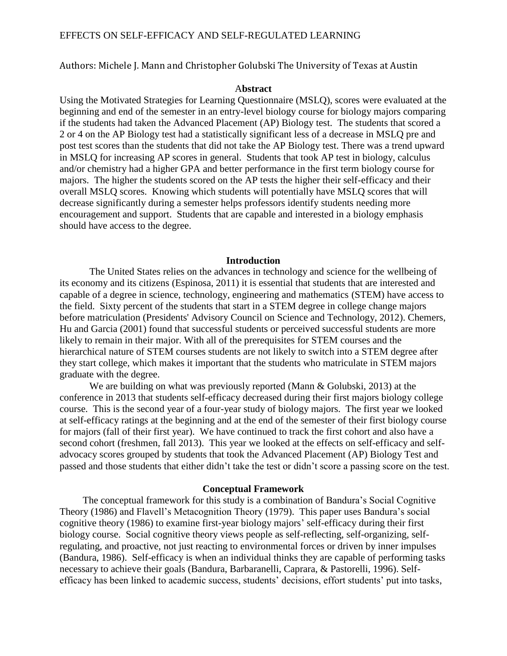Authors: Michele J. Mann and Christopher Golubski The University of Texas at Austin

## A**bstract**

Using the Motivated Strategies for Learning Questionnaire (MSLQ), scores were evaluated at the beginning and end of the semester in an entry-level biology course for biology majors comparing if the students had taken the Advanced Placement (AP) Biology test. The students that scored a 2 or 4 on the AP Biology test had a statistically significant less of a decrease in MSLQ pre and post test scores than the students that did not take the AP Biology test. There was a trend upward in MSLQ for increasing AP scores in general. Students that took AP test in biology, calculus and/or chemistry had a higher GPA and better performance in the first term biology course for majors. The higher the students scored on the AP tests the higher their self-efficacy and their overall MSLQ scores. Knowing which students will potentially have MSLQ scores that will decrease significantly during a semester helps professors identify students needing more encouragement and support. Students that are capable and interested in a biology emphasis should have access to the degree.

### **Introduction**

The United States relies on the advances in technology and science for the wellbeing of its economy and its citizens [\(Espinosa, 2011\)](#page-5-0) it is essential that students that are interested and capable of a degree in science, technology, engineering and mathematics (STEM) have access to the field. Sixty percent of the students that start in a STEM degree in college change majors before matriculation [\(Presidents' Advisory Council on Science and Technology, 2012\)](#page-6-0). Chemers, Hu and Garcia [\(2001\)](#page-5-1) found that successful students or perceived successful students are more likely to remain in their major. With all of the prerequisites for STEM courses and the hierarchical nature of STEM courses students are not likely to switch into a STEM degree after they start college, which makes it important that the students who matriculate in STEM majors graduate with the degree.

We are building on what was previously reported [\(Mann & Golubski, 2013\)](#page-5-2) at the conference in 2013 that students self-efficacy decreased during their first majors biology college course. This is the second year of a four-year study of biology majors. The first year we looked at self-efficacy ratings at the beginning and at the end of the semester of their first biology course for majors (fall of their first year). We have continued to track the first cohort and also have a second cohort (freshmen, fall 2013). This year we looked at the effects on self-efficacy and selfadvocacy scores grouped by students that took the Advanced Placement (AP) Biology Test and passed and those students that either didn't take the test or didn't score a passing score on the test.

## **Conceptual Framework**

The conceptual framework for this study is a combination of Bandura's Social Cognitive Theory [\(1986\)](#page-5-3) and Flavell's Metacognition Theory [\(1979\)](#page-5-4). This paper uses Bandura's social cognitive theory [\(1986\)](#page-5-3) to examine first-year biology majors' self-efficacy during their first biology course. Social cognitive theory views people as self-reflecting, self-organizing, selfregulating, and proactive, not just reacting to environmental forces or driven by inner impulses [\(Bandura, 1986\)](#page-5-3). Self-efficacy is when an individual thinks they are capable of performing tasks necessary to achieve their goals [\(Bandura, Barbaranelli, Caprara, & Pastorelli, 1996\)](#page-5-5). Selfefficacy has been linked to academic success, students' decisions, effort students' put into tasks,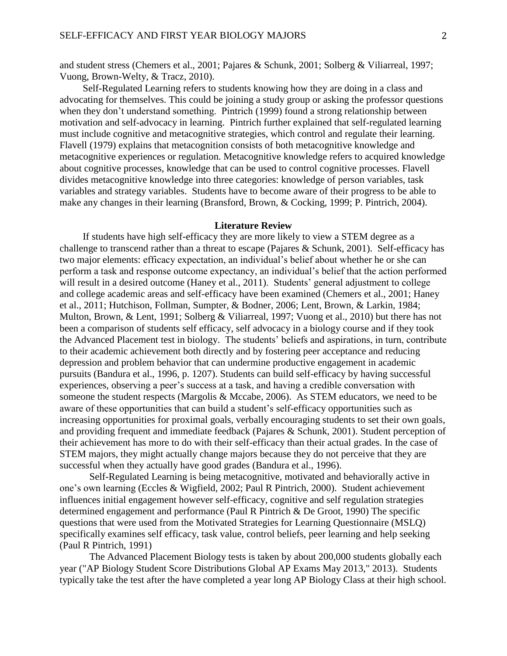and student stress [\(Chemers et al., 2001;](#page-5-1) [Pajares & Schunk, 2001;](#page-5-6) Solberg & [Viliarreal, 1997;](#page-6-1) [Vuong, Brown-Welty, & Tracz, 2010\)](#page-6-2).

Self-Regulated Learning refers to students knowing how they are doing in a class and advocating for themselves. This could be joining a study group or asking the professor questions when they don't understand something. Pintrich [\(1999\)](#page-6-3) found a strong relationship between motivation and self-advocacy in learning. Pintrich further explained that self-regulated learning must include cognitive and metacognitive strategies, which control and regulate their learning. Flavell [\(1979\)](#page-5-4) explains that metacognition consists of both metacognitive knowledge and metacognitive experiences or regulation. Metacognitive knowledge refers to acquired knowledge about cognitive processes, knowledge that can be used to control cognitive processes. Flavell divides metacognitive knowledge into three categories: knowledge of person variables, task variables and strategy variables. Students have to become aware of their progress to be able to make any changes in their learning [\(Bransford, Brown, & Cocking, 1999;](#page-5-7) [P. Pintrich, 2004\)](#page-5-8).

## **Literature Review**

If students have high self-efficacy they are more likely to view a STEM degree as a challenge to transcend rather than a threat to escape [\(Pajares & Schunk, 2001\)](#page-5-6). Self-efficacy has two major elements: efficacy expectation, an individual's belief about whether he or she can perform a task and response outcome expectancy, an individual's belief that the action performed will result in a desired outcome [\(Haney et al., 2011\)](#page-5-9). Students' general adjustment to college and college academic areas and self-efficacy have been examined [\(Chemers et al., 2001;](#page-5-1) [Haney](#page-5-9)  [et al., 2011;](#page-5-9) [Hutchison, Follman, Sumpter, & Bodner, 2006;](#page-5-10) [Lent, Brown, & Larkin, 1984;](#page-5-11) [Multon, Brown, & Lent, 1991;](#page-5-12) [Solberg & Viliarreal, 1997;](#page-6-1) [Vuong et al., 2010\)](#page-6-2) but there has not been a comparison of students self efficacy, self advocacy in a biology course and if they took the Advanced Placement test in biology. The students' beliefs and aspirations, in turn, contribute to their academic achievement both directly and by fostering peer acceptance and reducing depression and problem behavior that can undermine productive engagement in academic pursuits [\(Bandura et al., 1996, p. 1207\)](#page-5-5). Students can build self-efficacy by having successful experiences, observing a peer's success at a task, and having a credible conversation with someone the student respects [\(Margolis & Mccabe, 2006\)](#page-5-13). As STEM educators, we need to be aware of these opportunities that can build a student's self-efficacy opportunities such as increasing opportunities for proximal goals, verbally encouraging students to set their own goals, and providing frequent and immediate feedback [\(Pajares & Schunk, 2001\)](#page-5-6). Student perception of their achievement has more to do with their self-efficacy than their actual grades. In the case of STEM majors, they might actually change majors because they do not perceive that they are successful when they actually have good grades [\(Bandura et al., 1996\)](#page-5-5).

Self-Regulated Learning is being metacognitive, motivated and behaviorally active in one's own learning [\(Eccles & Wigfield, 2002;](#page-5-14) [Paul R Pintrich, 2000\)](#page-6-4). Student achievement influences initial engagement however self-efficacy, cognitive and self regulation strategies determined engagement and performance [\(Paul R Pintrich & De Groot, 1990\)](#page-6-5) The specific questions that were used from the Motivated Strategies for Learning Questionnaire (MSLQ) specifically examines self efficacy, task value, control beliefs, peer learning and help seeking [\(Paul R Pintrich, 1991\)](#page-6-6)

The Advanced Placement Biology tests is taken by about 200,000 students globally each year [\("AP Biology Student Score Distributions Global AP Exams May 2013," 2013\)](#page-4-0). Students typically take the test after the have completed a year long AP Biology Class at their high school.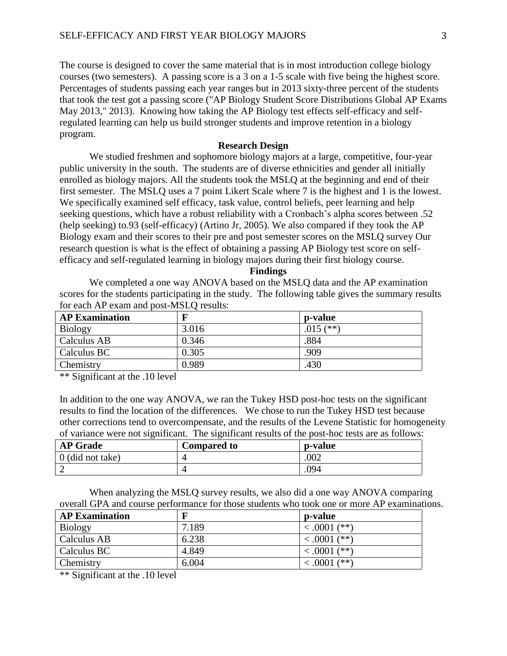The course is designed to cover the same material that is in most introduction college biology courses (two semesters). A passing score is a 3 on a 1-5 scale with five being the highest score. Percentages of students passing each year ranges but in 2013 sixty-three percent of the students that took the test got a passing score [\("AP Biology Student Score Distributions Global AP Exams](#page-4-0) [May 2013," 2013\)](#page-4-0). Knowing how taking the AP Biology test effects self-efficacy and selfregulated learning can help us build stronger students and improve retention in a biology program.

# **Research Design**

We studied freshmen and sophomore biology majors at a large, competitive, four-year public university in the south. The students are of diverse ethnicities and gender all initially enrolled as biology majors. All the students took the MSLQ at the beginning and end of their first semester. The MSLQ uses a 7 point Likert Scale where 7 is the highest and 1 is the lowest. We specifically examined self efficacy, task value, control beliefs, peer learning and help seeking questions, which have a robust reliability with a Cronbach's alpha scores between .52 (help seeking) to.93 (self-efficacy) [\(Artino Jr, 2005\)](#page-4-1). We also compared if they took the AP Biology exam and their scores to their pre and post semester scores on the MSLQ survey Our research question is what is the effect of obtaining a passing AP Biology test score on selfefficacy and self-regulated learning in biology majors during their first biology course.

**Findings**

We completed a one way ANOVA based on the MSLQ data and the AP examination scores for the students participating in the study. The following table gives the summary results for each AP exam and post-MSLQ results:

| <b>AP Examination</b> | F     | <b>p</b> -value |
|-----------------------|-------|-----------------|
| Biology               | 3.016 | .015 $(**)$     |
| Calculus AB           | 0.346 | .884            |
| Calculus BC           | 0.305 | .909            |
| Chemistry             | 0.989 | .430            |

\*\* Significant at the .10 level

In addition to the one way ANOVA, we ran the Tukey HSD post-hoc tests on the significant results to find the location of the differences. We chose to run the Tukey HSD test because other corrections tend to overcompensate, and the results of the Levene Statistic for homogeneity of variance were not significant. The significant results of the post-hoc tests are as follows:

| <b>AP</b> Grade    | <b>Compared to</b> | p-value |
|--------------------|--------------------|---------|
| $0$ (did not take) |                    | .002    |
|                    |                    | .094    |

When analyzing the MSLQ survey results, we also did a one way ANOVA comparing overall GPA and course performance for those students who took one or more AP examinations.

| <b>AP Examination</b> | F     | p-value           |
|-----------------------|-------|-------------------|
| <b>Biology</b>        | 7.189 | $(**)$<br><.0001  |
| Calculus AB           | 6.238 | $(**)$<br><.0001  |
| Calculus BC           | 4.849 | $(**)$<br>< .0001 |
| Chemistry             | 6.004 | < .0001           |

\*\* Significant at the .10 level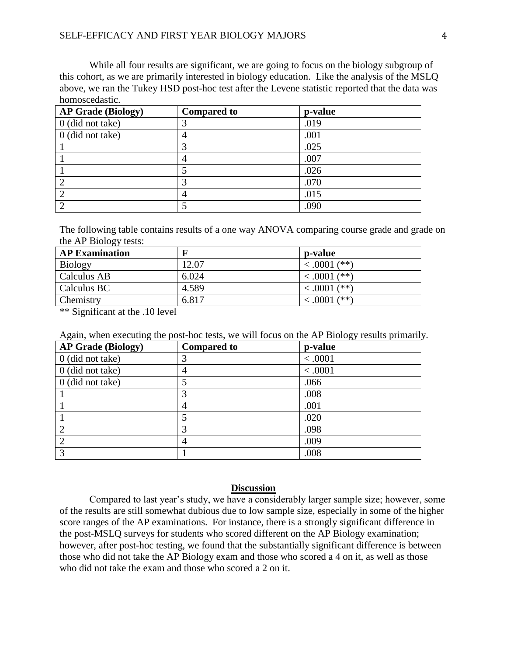## SELF-EFFICACY AND FIRST YEAR BIOLOGY MAJORS 4

While all four results are significant, we are going to focus on the biology subgroup of this cohort, as we are primarily interested in biology education. Like the analysis of the MSLQ above, we ran the Tukey HSD post-hoc test after the Levene statistic reported that the data was homoscedastic.

| <b>AP Grade (Biology)</b> | <b>Compared to</b> | p-value |
|---------------------------|--------------------|---------|
| $0$ (did not take)        |                    | .019    |
| 0 (did not take)          | ٠                  | .001    |
|                           | 3                  | .025    |
|                           | 4                  | .007    |
|                           |                    | .026    |
|                           |                    | .070    |
| $\overline{2}$            |                    | .015    |
|                           |                    | .090    |

The following table contains results of a one way ANOVA comparing course grade and grade on the AP Biology tests:

| <b>AP Examination</b> | $\mathbf F$ | p-value           |
|-----------------------|-------------|-------------------|
| <b>Biology</b>        | 12.07       | $\leq .0001$ (**) |
| Calculus AB           | 6.024       | $\leq .0001$ (**) |
| Calculus BC           | 4.589       | $\leq .0001$ (**) |
| Chemistry             | 6.817       | $(**)$<br><.0001  |
|                       |             |                   |

\*\* Significant at the .10 level

Again, when executing the post-hoc tests, we will focus on the AP Biology results primarily.

| <b>AP Grade (Biology)</b> | <b>Compared to</b> | p-value |
|---------------------------|--------------------|---------|
| $0$ (did not take)        | 3                  | < .0001 |
| $0$ (did not take)        | $\overline{4}$     | < 0.001 |
| $0$ (did not take)        | 5                  | .066    |
|                           | 3                  | .008    |
|                           | $\overline{4}$     | .001    |
|                           | 5                  | .020    |
|                           | 3                  | .098    |
| $\overline{2}$            | 4                  | .009    |
| 3                         |                    | .008    |

## **Discussion**

Compared to last year's study, we have a considerably larger sample size; however, some of the results are still somewhat dubious due to low sample size, especially in some of the higher score ranges of the AP examinations. For instance, there is a strongly significant difference in the post-MSLQ surveys for students who scored different on the AP Biology examination; however, after post-hoc testing, we found that the substantially significant difference is between those who did not take the AP Biology exam and those who scored a 4 on it, as well as those who did not take the exam and those who scored a 2 on it.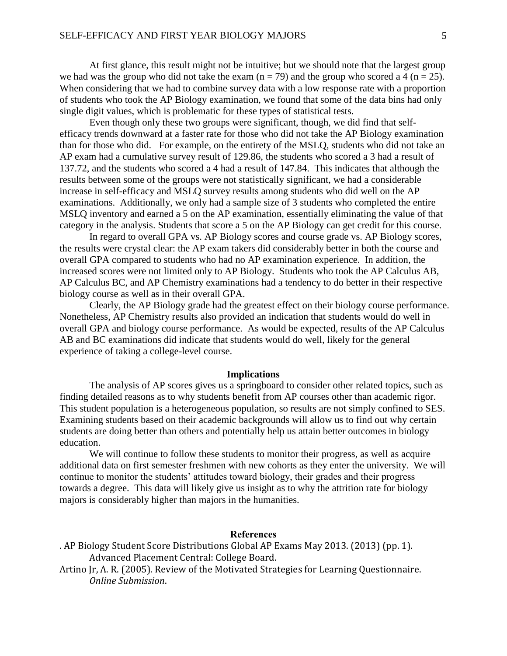At first glance, this result might not be intuitive; but we should note that the largest group we had was the group who did not take the exam  $(n = 79)$  and the group who scored a 4  $(n = 25)$ . When considering that we had to combine survey data with a low response rate with a proportion of students who took the AP Biology examination, we found that some of the data bins had only single digit values, which is problematic for these types of statistical tests.

Even though only these two groups were significant, though, we did find that selfefficacy trends downward at a faster rate for those who did not take the AP Biology examination than for those who did. For example, on the entirety of the MSLQ, students who did not take an AP exam had a cumulative survey result of 129.86, the students who scored a 3 had a result of 137.72, and the students who scored a 4 had a result of 147.84. This indicates that although the results between some of the groups were not statistically significant, we had a considerable increase in self-efficacy and MSLQ survey results among students who did well on the AP examinations. Additionally, we only had a sample size of 3 students who completed the entire MSLQ inventory and earned a 5 on the AP examination, essentially eliminating the value of that category in the analysis. Students that score a 5 on the AP Biology can get credit for this course.

In regard to overall GPA vs. AP Biology scores and course grade vs. AP Biology scores, the results were crystal clear: the AP exam takers did considerably better in both the course and overall GPA compared to students who had no AP examination experience. In addition, the increased scores were not limited only to AP Biology. Students who took the AP Calculus AB, AP Calculus BC, and AP Chemistry examinations had a tendency to do better in their respective biology course as well as in their overall GPA.

Clearly, the AP Biology grade had the greatest effect on their biology course performance. Nonetheless, AP Chemistry results also provided an indication that students would do well in overall GPA and biology course performance. As would be expected, results of the AP Calculus AB and BC examinations did indicate that students would do well, likely for the general experience of taking a college-level course.

#### **Implications**

The analysis of AP scores gives us a springboard to consider other related topics, such as finding detailed reasons as to why students benefit from AP courses other than academic rigor. This student population is a heterogeneous population, so results are not simply confined to SES. Examining students based on their academic backgrounds will allow us to find out why certain students are doing better than others and potentially help us attain better outcomes in biology education.

We will continue to follow these students to monitor their progress, as well as acquire additional data on first semester freshmen with new cohorts as they enter the university. We will continue to monitor the students' attitudes toward biology, their grades and their progress towards a degree. This data will likely give us insight as to why the attrition rate for biology majors is considerably higher than majors in the humanities.

# **References**

- <span id="page-4-0"></span>. AP Biology Student Score Distributions Global AP Exams May 2013. (2013) (pp. 1). Advanced Placement Central: College Board.
- <span id="page-4-1"></span>Artino Jr, A. R. (2005). Review of the Motivated Strategies for Learning Questionnaire. *Online Submission*.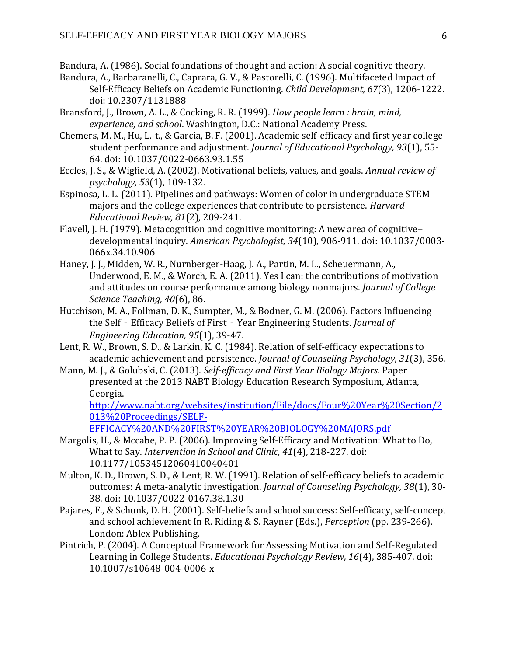<span id="page-5-3"></span>Bandura, A. (1986). Social foundations of thought and action: A social cognitive theory.

- <span id="page-5-5"></span>Bandura, A., Barbaranelli, C., Caprara, G. V., & Pastorelli, C. (1996). Multifaceted Impact of Self-Efficacy Beliefs on Academic Functioning. *Child Development, 67*(3), 1206-1222. doi: 10.2307/1131888
- <span id="page-5-7"></span>Bransford, J., Brown, A. L., & Cocking, R. R. (1999). *How people learn : brain, mind, experience, and school*. Washington, D.C.: National Academy Press.
- <span id="page-5-1"></span>Chemers, M. M., Hu, L.-t., & Garcia, B. F. (2001). Academic self-efficacy and first year college student performance and adjustment. *Journal of Educational Psychology, 93*(1), 55- 64. doi: 10.1037/0022-0663.93.1.55
- <span id="page-5-14"></span>Eccles, J. S., & Wigfield, A. (2002). Motivational beliefs, values, and goals. *Annual review of psychology, 53*(1), 109-132.
- <span id="page-5-0"></span>Espinosa, L. L. (2011). Pipelines and pathways: Women of color in undergraduate STEM majors and the college experiences that contribute to persistence. *Harvard Educational Review, 81*(2), 209-241.
- <span id="page-5-4"></span>Flavell, J. H. (1979). Metacognition and cognitive monitoring: A new area of cognitive– developmental inquiry. *American Psychologist, 34*(10), 906-911. doi: 10.1037/0003- 066x.34.10.906
- <span id="page-5-9"></span>Haney, J. J., Midden, W. R., Nurnberger-Haag, J. A., Partin, M. L., Scheuermann, A., Underwood, E. M., & Worch, E. A. (2011). Yes I can: the contributions of motivation and attitudes on course performance among biology nonmajors. *Journal of College Science Teaching, 40*(6), 86.
- <span id="page-5-10"></span>Hutchison, M. A., Follman, D. K., Sumpter, M., & Bodner, G. M. (2006). Factors Influencing the Self‐Efficacy Beliefs of First‐Year Engineering Students. *Journal of Engineering Education, 95*(1), 39-47.
- <span id="page-5-11"></span>Lent, R. W., Brown, S. D., & Larkin, K. C. (1984). Relation of self-efficacy expectations to academic achievement and persistence. *Journal of Counseling Psychology, 31*(3), 356.
- <span id="page-5-2"></span>Mann, M. J., & Golubski, C. (2013). *Self-efficacy and First Year Biology Majors*. Paper presented at the 2013 NABT Biology Education Research Symposium, Atlanta, Georgia.

[http://www.nabt.org/websites/institution/File/docs/Four%20Year%20Section/2](http://www.nabt.org/websites/institution/File/docs/Four%20Year%20Section/2013%20Proceedings/SELF-EFFICACY%20AND%20FIRST%20YEAR%20BIOLOGY%20MAJORS.pdf) [013%20Proceedings/SELF-](http://www.nabt.org/websites/institution/File/docs/Four%20Year%20Section/2013%20Proceedings/SELF-EFFICACY%20AND%20FIRST%20YEAR%20BIOLOGY%20MAJORS.pdf)

[EFFICACY%20AND%20FIRST%20YEAR%20BIOLOGY%20MAJORS.pdf](http://www.nabt.org/websites/institution/File/docs/Four%20Year%20Section/2013%20Proceedings/SELF-EFFICACY%20AND%20FIRST%20YEAR%20BIOLOGY%20MAJORS.pdf)

- <span id="page-5-13"></span>Margolis, H., & Mccabe, P. P. (2006). Improving Self-Efficacy and Motivation: What to Do, What to Say. *Intervention in School and Clinic, 41*(4), 218-227. doi: 10.1177/10534512060410040401
- <span id="page-5-12"></span>Multon, K. D., Brown, S. D., & Lent, R. W. (1991). Relation of self-efficacy beliefs to academic outcomes: A meta-analytic investigation. *Journal of Counseling Psychology, 38*(1), 30- 38. doi: 10.1037/0022-0167.38.1.30
- <span id="page-5-6"></span>Pajares, F., & Schunk, D. H. (2001). Self-beliefs and school success: Self-efficacy, self-concept and school achievement In R. Riding & S. Rayner (Eds.), *Perception* (pp. 239-266). London: Ablex Publishing.
- <span id="page-5-8"></span>Pintrich, P. (2004). A Conceptual Framework for Assessing Motivation and Self-Regulated Learning in College Students. *Educational Psychology Review, 16*(4), 385-407. doi: 10.1007/s10648-004-0006-x